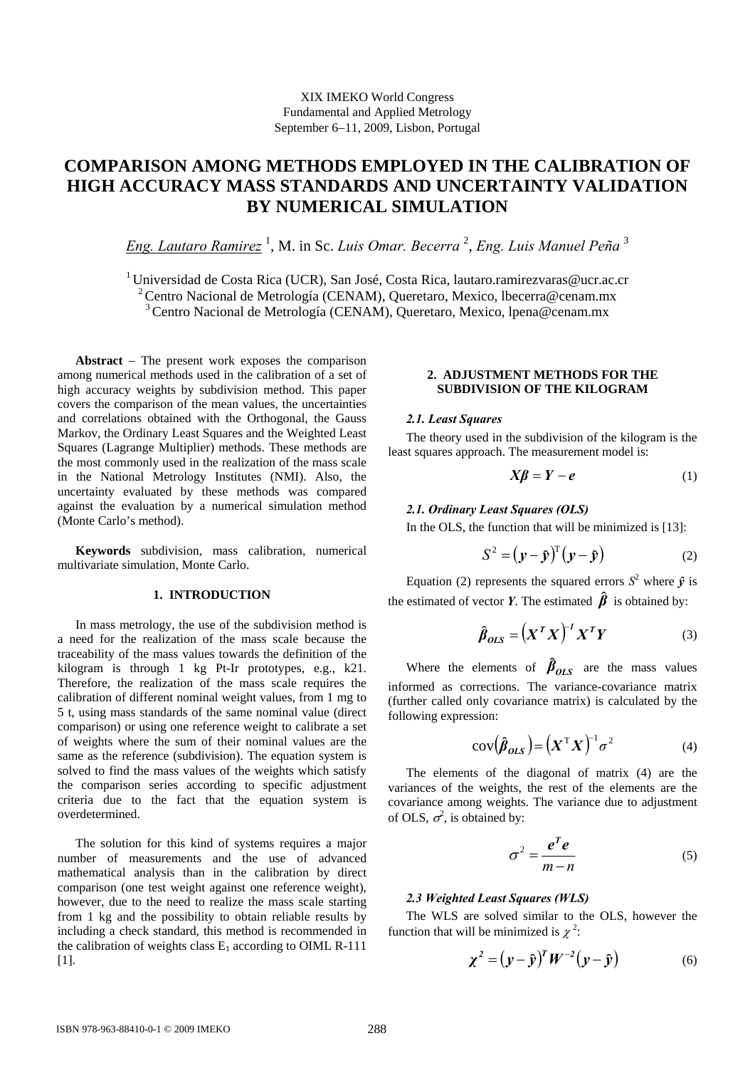# **COMPARISON AMONG METHODS EMPLOYED IN THE CALIBRATION OF HIGH ACCURACY MASS STANDARDS AND UNCERTAINTY VALIDATION BY NUMERICAL SIMULATION**

*Eng. Lautaro Ramirez* <sup>1</sup> , M. in Sc. *Luis Omar. Becerra* <sup>2</sup> , *Eng. Luis Manuel Peña* <sup>3</sup>

<sup>1</sup> Universidad de Costa Rica (UCR), San José, Costa Rica, lautaro.ramirezvaras@ucr.ac.cr 2 Centro Nacional de Metrología (CENAM), Queretaro, Mexico, lbecerra@cenam.mx 3 Centro Nacional de Metrología (CENAM), Queretaro, Mexico, lpena@cenam.mx

**Abstract** − The present work exposes the comparison among numerical methods used in the calibration of a set of high accuracy weights by subdivision method. This paper covers the comparison of the mean values, the uncertainties and correlations obtained with the Orthogonal, the Gauss Markov, the Ordinary Least Squares and the Weighted Least Squares (Lagrange Multiplier) methods. These methods are the most commonly used in the realization of the mass scale in the National Metrology Institutes (NMI). Also, the uncertainty evaluated by these methods was compared against the evaluation by a numerical simulation method (Monte Carlo's method).

**Keywords** subdivision, mass calibration, numerical multivariate simulation, Monte Carlo.

## **1. INTRODUCTION**

In mass metrology, the use of the subdivision method is a need for the realization of the mass scale because the traceability of the mass values towards the definition of the kilogram is through 1 kg Pt-Ir prototypes, e.g., k21. Therefore, the realization of the mass scale requires the calibration of different nominal weight values, from 1 mg to 5 t, using mass standards of the same nominal value (direct comparison) or using one reference weight to calibrate a set of weights where the sum of their nominal values are the same as the reference (subdivision). The equation system is solved to find the mass values of the weights which satisfy the comparison series according to specific adjustment criteria due to the fact that the equation system is overdetermined.

The solution for this kind of systems requires a major number of measurements and the use of advanced mathematical analysis than in the calibration by direct comparison (one test weight against one reference weight), however, due to the need to realize the mass scale starting from 1 kg and the possibility to obtain reliable results by including a check standard, this method is recommended in the calibration of weights class  $E_1$  according to OIML R-111 [1].

# **2. ADJUSTMENT METHODS FOR THE SUBDIVISION OF THE KILOGRAM**

#### *2.1. Least Squares*

The theory used in the subdivision of the kilogram is the least squares approach. The measurement model is:

$$
X\beta = Y - e \tag{1}
$$

#### *2.1. Ordinary Least Squares (OLS)*

In the OLS, the function that will be minimized is [13]:

$$
S^2 = (\mathbf{y} - \mathbf{\hat{y}})^T (\mathbf{y} - \mathbf{\hat{y}})
$$
 (2)

Equation (2) represents the squared errors  $S^2$  where  $\hat{y}$  is the estimated of vector *Y*. The estimated  $\hat{\beta}$  is obtained by:

$$
\hat{\beta}_{OLS} = \left(X^T X\right)^{-1} X^T Y \tag{3}
$$

Where the elements of  $\beta_{OLS}$  are the mass values informed as corrections. The variance-covariance matrix (further called only covariance matrix) is calculated by the following expression:

$$
cov(\hat{\beta}_{OLS}) = (X^{\mathrm{T}}X)^{-1}\sigma^2
$$
 (4)

The elements of the diagonal of matrix (4) are the variances of the weights, the rest of the elements are the covariance among weights. The variance due to adjustment of OLS,  $\sigma^2$ , is obtained by:

$$
\sigma^2 = \frac{e^T e}{m - n} \tag{5}
$$

## *2.3 Weighted Least Squares (WLS)*

The WLS are solved similar to the OLS, however the function that will be minimized is  $\chi^2$ :

$$
\chi^2 = (y - \hat{y})^T W^{-2} (y - \hat{y}) \tag{6}
$$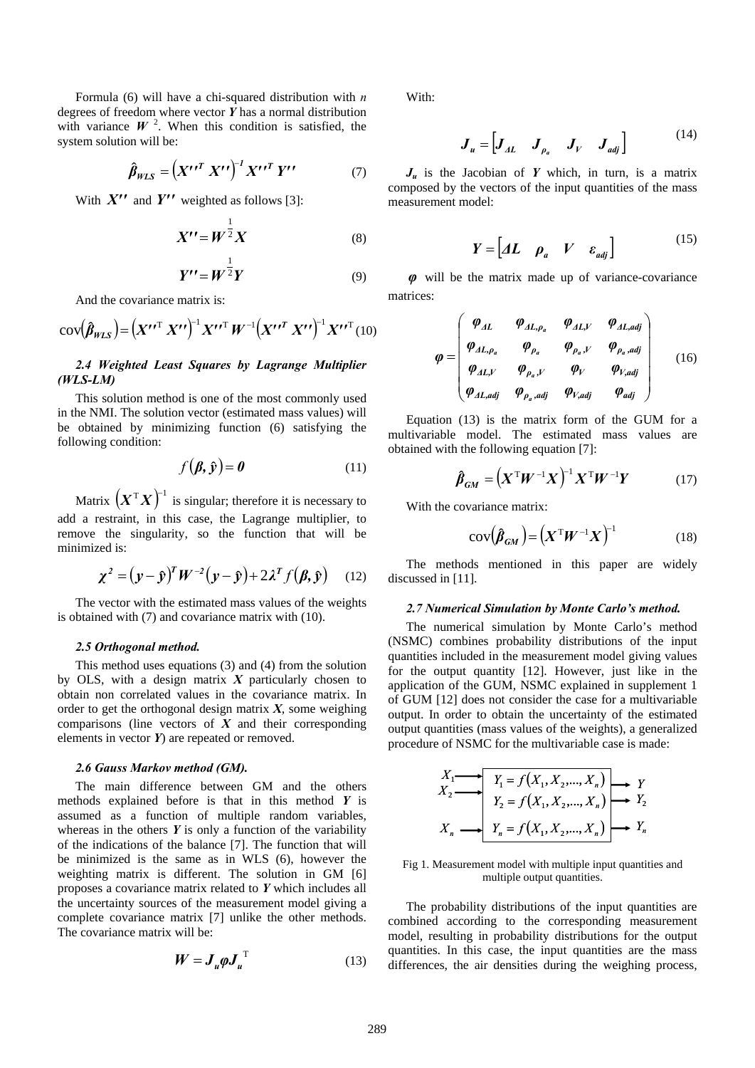Formula (6) will have a chi-squared distribution with *n* degrees of freedom where vector *Y* has a normal distribution with variance  $W^2$ . When this condition is satisfied, the system solution will be:

$$
\hat{\beta}_{WLS} = \left(X^{\prime\prime T} X^{\prime\prime}\right)^{-1} X^{\prime\prime T} Y^{\prime\prime} \tag{7}
$$

With  $X''$  and  $Y''$  weighted as follows [3]:

$$
X^{\prime\prime} = W^{\frac{1}{2}} X \tag{8}
$$

$$
Y^{\prime\prime} = W^{\frac{1}{2}}Y\tag{9}
$$

And the covariance matrix is:

$$
\text{cov}(\hat{\boldsymbol{\beta}}_{WLS}) = \left(X^{\prime\prime T} X^{\prime\prime}\right)^{-1} X^{\prime\prime T} W^{-1} \left(X^{\prime\prime T} X^{\prime\prime}\right)^{-1} X^{\prime\prime T} (10)
$$

# *2.4 Weighted Least Squares by Lagrange Multiplier (WLS-LM)*

This solution method is one of the most commonly used in the NMI. The solution vector (estimated mass values) will be obtained by minimizing function (6) satisfying the following condition:

$$
f(\boldsymbol{\beta}, \hat{\mathbf{y}}) = \boldsymbol{0} \tag{11}
$$

Matrix  $(X^T X)^{-1}$  is singular; therefore it is necessary to add a restraint, in this case, the Lagrange multiplier, to remove the singularity, so the function that will be minimized is:

$$
\chi^2 = (y - \hat{y})^T W^{-2} (y - \hat{y}) + 2 \lambda^T f(\beta, \hat{y}) \quad (12)
$$

The vector with the estimated mass values of the weights is obtained with (7) and covariance matrix with (10).

## *2.5 Orthogonal method.*

This method uses equations (3) and (4) from the solution by OLS, with a design matrix *X* particularly chosen to obtain non correlated values in the covariance matrix. In order to get the orthogonal design matrix *X*, some weighing comparisons (line vectors of *X* and their corresponding elements in vector *Y*) are repeated or removed.

#### *2.6 Gauss Markov method (GM).*

The main difference between GM and the others methods explained before is that in this method *Y* is assumed as a function of multiple random variables, whereas in the others  $Y$  is only a function of the variability of the indications of the balance [7]. The function that will be minimized is the same as in WLS (6), however the weighting matrix is different. The solution in GM [6] proposes a covariance matrix related to *Y* which includes all the uncertainty sources of the measurement model giving a complete covariance matrix [7] unlike the other methods. The covariance matrix will be:

$$
W = J_u \varphi J_u^{\mathrm{T}} \tag{13}
$$

With:

$$
\boldsymbol{J}_{u} = \begin{bmatrix} \boldsymbol{J}_{AL} & \boldsymbol{J}_{\rho_{a}} & \boldsymbol{J}_{V} & \boldsymbol{J}_{adj} \end{bmatrix} \tag{14}
$$

 $J_u$  is the Jacobian of *Y* which, in turn, is a matrix composed by the vectors of the input quantities of the mass measurement model:

$$
Y = \begin{bmatrix} A L & \rho_a & V & \varepsilon_{adj} \end{bmatrix} \tag{15}
$$

*φ* will be the matrix made up of variance-covariance matrices:

$$
\varphi = \begin{pmatrix} \varphi_{AL} & \varphi_{AL,\rho_a} & \varphi_{AL,V} & \varphi_{AL,adj} \\ \varphi_{AL,\rho_a} & \varphi_{\rho_a} & \varphi_{\rho_a,V} & \varphi_{\rho_a,adj} \\ \varphi_{AL,V} & \varphi_{\rho_a,V} & \varphi_V & \varphi_{V,adj} \\ \varphi_{AL,adj} & \varphi_{\rho_a,adj} & \varphi_{V,adj} & \varphi_{adj} \end{pmatrix}
$$
 (16)

Equation (13) is the matrix form of the GUM for a multivariable model. The estimated mass values are obtained with the following equation [7]:

$$
\hat{\boldsymbol{\beta}}_{GM} = \left(\boldsymbol{X}^{\mathrm{T}}\boldsymbol{W}^{-1}\boldsymbol{X}\right)^{-1}\boldsymbol{X}^{\mathrm{T}}\boldsymbol{W}^{-1}\boldsymbol{Y} \tag{17}
$$

With the covariance matrix:

$$
cov(\hat{\boldsymbol{\beta}}_{GM}) = \left(\boldsymbol{X}^{\mathrm{T}}\boldsymbol{W}^{-1}\boldsymbol{X}\right)^{-1} \tag{18}
$$

The methods mentioned in this paper are widely discussed in [11].

#### *2.7 Numerical Simulation by Monte Carlo's method.*

The numerical simulation by Monte Carlo's method (NSMC) combines probability distributions of the input quantities included in the measurement model giving values for the output quantity [12]. However, just like in the application of the GUM, NSMC explained in supplement 1 of GUM [12] does not consider the case for a multivariable output. In order to obtain the uncertainty of the estimated output quantities (mass values of the weights), a generalized procedure of NSMC for the multivariable case is made:

$$
X_1 \longrightarrow Y_1 = f(X_1, X_2, \dots, X_n) \longrightarrow Y_2
$$
  
\n
$$
Y_2 = f(X_1, X_2, \dots, X_n) \longrightarrow Y_2
$$
  
\n
$$
X_n \longrightarrow Y_n = f(X_1, X_2, \dots, X_n) \longrightarrow Y_n
$$

Fig 1. Measurement model with multiple input quantities and multiple output quantities.

The probability distributions of the input quantities are combined according to the corresponding measurement model, resulting in probability distributions for the output quantities. In this case, the input quantities are the mass differences, the air densities during the weighing process,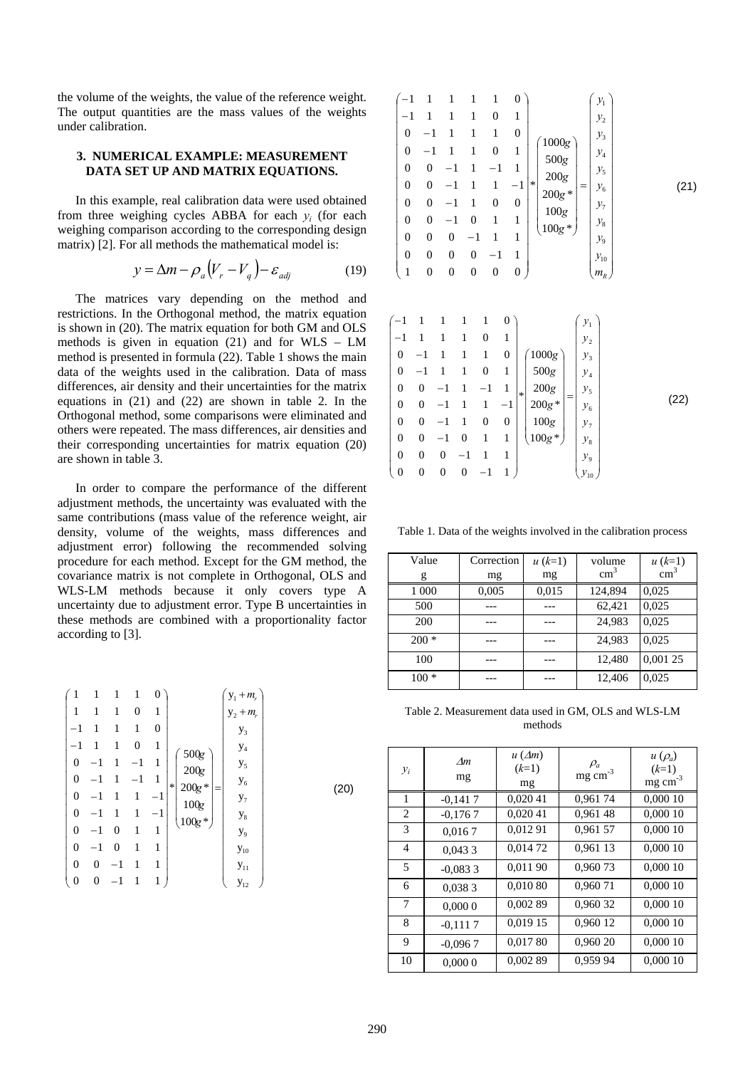the volume of the weights, the value of the reference weight. The output quantities are the mass values of the weights under calibration.

## **3. NUMERICAL EXAMPLE: MEASUREMENT DATA SET UP AND MATRIX EQUATIONS.**

In this example, real calibration data were used obtained from three weighing cycles ABBA for each *yi* (for each weighing comparison according to the corresponding design matrix) [2]. For all methods the mathematical model is:

$$
y = \Delta m - \rho_a (V_r - V_q) - \varepsilon_{adj} \tag{19}
$$

The matrices vary depending on the method and restrictions. In the Orthogonal method, the matrix equation is shown in (20). The matrix equation for both GM and OLS methods is given in equation (21) and for WLS – LM method is presented in formula (22). Table 1 shows the main data of the weights used in the calibration. Data of mass differences, air density and their uncertainties for the matrix equations in (21) and (22) are shown in table 2. In the Orthogonal method, some comparisons were eliminated and others were repeated. The mass differences, air densities and their corresponding uncertainties for matrix equation (20) are shown in table 3.

In order to compare the performance of the different adjustment methods, the uncertainty was evaluated with the same contributions (mass value of the reference weight, air density, volume of the weights, mass differences and adjustment error) following the recommended solving procedure for each method. Except for the GM method, the covariance matrix is not complete in Orthogonal, OLS and WLS-LM methods because it only covers type A uncertainty due to adjustment error. Type B uncertainties in these methods are combined with a proportionality factor according to [3].

| 0<br>$y_1 + m_r$<br>1<br>1<br>1<br>1<br>1<br>0<br>1<br>$y_2 + m_r$<br>$-1$<br>1<br>1<br>0<br>1<br>$y_3$<br>$-1$<br>$\boldsymbol{0}$<br>1<br>1<br>1<br>$\mathbf{y}_4$<br>$500\mathrm{g}$<br>$\overline{0}$<br>1<br>$^{-1}$<br>1<br>$y_5$<br>200g<br>$\boldsymbol{0}$<br>1<br>$^{-1}$<br>1<br>$y_{6}$<br>$\ast$<br>$200\mathrm{g}$ *<br>=<br>$\boldsymbol{0}$<br>1<br>-1<br>$^{-1}$<br>$y_7$<br>100 <sub>g</sub><br>$\boldsymbol{0}$<br>1<br>$^{-1}$<br>$\mathbf{y}_8$<br>$100\mathrm{g}$ *<br>$\overline{0}$<br>1<br>1<br>$-1$<br>0<br>$y_{9}$<br>$\overline{0}$<br>1<br>$-1$<br>1<br>0<br>$\mathbf{y}_{10}$<br>$\overline{0}$<br>$^{-1}$<br>0<br>1<br>1<br>$\mathbf{y}_{11}$<br>$\boldsymbol{0}$<br>1<br>0<br>1<br>$\mathbf{y}_{12}$ | (20) |
|--------------------------------------------------------------------------------------------------------------------------------------------------------------------------------------------------------------------------------------------------------------------------------------------------------------------------------------------------------------------------------------------------------------------------------------------------------------------------------------------------------------------------------------------------------------------------------------------------------------------------------------------------------------------------------------------------------------------------------------|------|
|--------------------------------------------------------------------------------------------------------------------------------------------------------------------------------------------------------------------------------------------------------------------------------------------------------------------------------------------------------------------------------------------------------------------------------------------------------------------------------------------------------------------------------------------------------------------------------------------------------------------------------------------------------------------------------------------------------------------------------------|------|

| $(-1)$<br>$\boldsymbol{0}$<br>$\boldsymbol{0}$<br>$\boldsymbol{0}$<br>$\boldsymbol{0}$<br>$\boldsymbol{0}$<br>$\mathbf{0}$<br>$\mathbf{0}$<br>$\mathbf{0}$<br>$\mathbf{1}$ | $-1$<br>$\overline{0}$<br>$\overline{0}$<br>$\overline{0}$<br>$\overline{0}$<br>0<br>$\overline{0}$<br>0 | $\theta$<br>$\theta$<br>0 | 1<br>1<br>0<br>$\Omega$<br>$\overline{0}$ | 1<br>0<br>1<br>0<br>-1<br>1<br>$\boldsymbol{0}$<br>1<br>1<br>$\mathbf{0}$ | 0<br>1<br>0<br>1<br>1<br>$-1$<br>0<br>1<br>1<br>1<br>0 | $\mathcal{Y}_1$<br>$y_{2}$<br>$y_3$<br>1000g<br>$y_4$<br>500g<br>y <sub>5</sub><br>$200g$<br>$\ast$<br>$y_{6}$<br>=<br>$200g$ *<br>$\mathcal{Y}_7$<br>$100g\,$<br>$\mathcal{Y}_8$<br>$100g *$<br>$y_{9}$<br>$y_{10}$<br>$m_R^{}$ | (21) |
|----------------------------------------------------------------------------------------------------------------------------------------------------------------------------|----------------------------------------------------------------------------------------------------------|---------------------------|-------------------------------------------|---------------------------------------------------------------------------|--------------------------------------------------------|----------------------------------------------------------------------------------------------------------------------------------------------------------------------------------------------------------------------------------|------|
|----------------------------------------------------------------------------------------------------------------------------------------------------------------------------|----------------------------------------------------------------------------------------------------------|---------------------------|-------------------------------------------|---------------------------------------------------------------------------|--------------------------------------------------------|----------------------------------------------------------------------------------------------------------------------------------------------------------------------------------------------------------------------------------|------|

|                          |                |   |   |         | 0       |        |          |     | $y_{1}$            |  |
|--------------------------|----------------|---|---|---------|---------|--------|----------|-----|--------------------|--|
|                          |                |   |   | 0       | 1       |        |          |     | $y_{2}$            |  |
| $\theta$                 | $-1$           |   |   | 1       | 0       |        | 1000g    |     | $\mathcal{Y}_3$    |  |
| $\boldsymbol{0}$         | $-1$           |   |   | 0       | 1       |        | 500g     |     | $y_4$              |  |
| $\theta$                 | 0              |   |   | $^{-1}$ | 1       | $\ast$ | 200g     |     | y <sub>5</sub>     |  |
| $\overline{0}$           | 0              |   |   |         | $^{-1}$ |        | $200g *$ | $=$ | $y_{6}$            |  |
| $\boldsymbol{0}$         | $\overline{0}$ |   |   | 0       | 0       |        | 100g     |     | $y_{7}$            |  |
| $\boldsymbol{0}$         | $\overline{0}$ |   | 0 | 1       | 1       |        | $100g*$  |     | $y_{8}$            |  |
| $\boldsymbol{0}$         | 0              | 0 |   |         |         |        |          |     | $y_{9}$            |  |
| $\overline{\phantom{0}}$ | 0              | 0 | 0 |         |         |        |          |     | $\mathcal{Y}_{10}$ |  |

Table 1. Data of the weights involved in the calibration process

| Value<br>g | Correction<br>mg | $u(k=1)$<br>mg | volume<br>$\text{cm}^3$ | $u (k=1)$<br>cm <sup>3</sup> |
|------------|------------------|----------------|-------------------------|------------------------------|
| 1 000      | 0,005            | 0,015          | 124,894                 | 0,025                        |
| 500        |                  |                | 62,421                  | 0,025                        |
| 200        |                  |                | 24,983                  | 0,025                        |
| $200*$     |                  |                | 24,983                  | 0,025                        |
| 100        |                  |                | 12,480                  | 0,001 25                     |
| $100 *$    |                  |                | 12,406                  | 0,025                        |

Table 2. Measurement data used in GM, OLS and WLS-LM methods

| $y_i$          | Am<br>mg  | $u(\Delta m)$<br>$(k=1)$<br>mg | $\rho_a$<br>$mg \, cm^{-3}$ | $u(\rho_a)$<br>$(k=1)$<br>$mg \text{ cm}^{-3}$ |
|----------------|-----------|--------------------------------|-----------------------------|------------------------------------------------|
| 1              | $-0,1417$ | 0,020 41                       | 0,96174                     | 0,000 10                                       |
| 2              | $-0,1767$ | 0,020 41                       | 0,961 48                    | 0,000 10                                       |
| 3              | 0,0167    | 0,012 91                       | 0,961 57                    | 0,000 10                                       |
| $\overline{4}$ | 0.0433    | 0,014 72                       | 0,961 13                    | 0,000 10                                       |
| 5              | $-0.0833$ | 0,011 90                       | 0,96073                     | 0.000 10                                       |
| 6              | 0.0383    | 0,010 80                       | 0,96071                     | 0,000 10                                       |
| 7              | 0,0000    | 0,002 89                       | 0,960 32                    | 0,000 10                                       |
| 8              | $-0,1117$ | 0,019 15                       | 0,960 12                    | 0,000 10                                       |
| 9              | $-0.0967$ | 0,01780                        | 0,960 20                    | 0,000 10                                       |
| 10             | 0,0000    | 0,002 89                       | 0,959 94                    | 0,000 10                                       |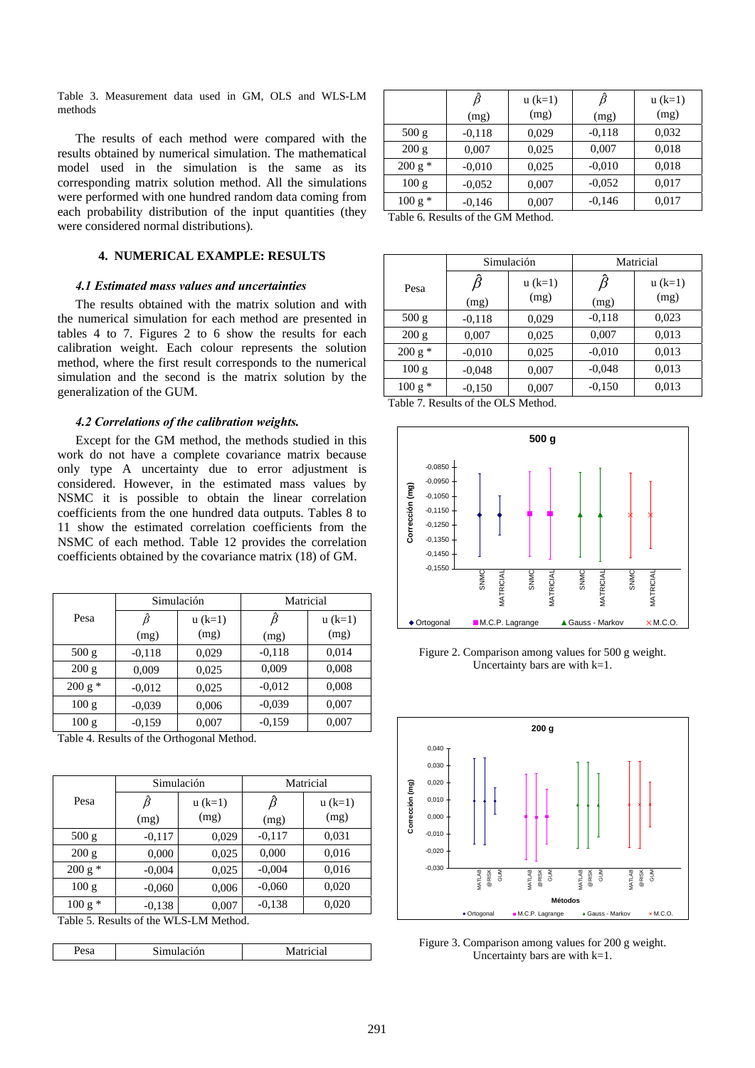Table 3. Measurement data used in GM, OLS and WLS-LM  $\hat{\beta}$  u (k=1)  $\hat{\beta}$  u (k=1)  $\beta$  u (k=1) (mg)

The results of each method were compared with the results obtained by numerical simulation. The mathematical model used in the simulation is the same as its corresponding matrix solution method. All the simulations were performed with one hundred random data coming from each probability distribution of the input quantities (they were considered normal distributions).

# **4. NUMERICAL EXAMPLE: RESULTS**

# *4.1 Estimated mass values and uncertainties*

The results obtained with the matrix solution and with the numerical simulation for each method are presented in tables 4 to 7. Figures 2 to 6 show the results for each calibration weight. Each colour represents the solution method, where the first result corresponds to the numerical simulation and the second is the matrix solution by the generalization of the GUM.

## *4.2 Correlations of the calibration weights.*

Except for the GM method, the methods studied in this work do not have a complete covariance matrix because only type A uncertainty due to error adjustment is considered. However, in the estimated mass values by NSMC it is possible to obtain the linear correlation coefficients from the one hundred data outputs. Tables 8 to 11 show the estimated correlation coefficients from the NSMC of each method. Table 12 provides the correlation coefficients obtained by the covariance matrix (18) of GM.

|          |          | Simulación | Matricial |           |  |
|----------|----------|------------|-----------|-----------|--|
| Pesa     | ß        | $u (k=1)$  |           | $u (k=1)$ |  |
|          | (mg)     | (mg)       | (mg)      | (mg)      |  |
| 500 g    | $-0.118$ | 0,029      | $-0,118$  | 0,014     |  |
| 200 g    | 0,009    | 0,025      | 0,009     | 0,008     |  |
| $200 g*$ | $-0.012$ | 0,025      | $-0.012$  | 0,008     |  |
| 100 g    | $-0.039$ | 0,006      | $-0.039$  | 0,007     |  |
| 100 g    | $-0.159$ | 0,007      | $-0.159$  | 0,007     |  |

Table 4. Results of the Orthogonal Method.

|          |          | Simulación | Matricial |           |  |
|----------|----------|------------|-----------|-----------|--|
| Pesa     | ß        | $u (k=1)$  | ß         | $u (k=1)$ |  |
|          | (mg)     | (mg)       | (mg)      | (mg)      |  |
| 500 g    | $-0.117$ | 0,029      | $-0.117$  | 0,031     |  |
| 200 g    | 0.000    | 0,025      | 0,000     | 0,016     |  |
| $200 g*$ | $-0,004$ | 0,025      | $-0.004$  | 0,016     |  |
| 100 g    | $-0.060$ | 0,006      | $-0.060$  | 0,020     |  |
| $100 g*$ | $-0.138$ | 0,007      | $-0.138$  | 0,020     |  |

Table 5. Results of the WLS-LM Method.

|--|

|           | β        | $u (k=1)$ |          | $u (k=1)$ |
|-----------|----------|-----------|----------|-----------|
|           | (mg)     | (mg)      | (mg)     | (mg)      |
| 500 g     | $-0.118$ | 0,029     | $-0.118$ | 0,032     |
| 200 g     | 0,007    | 0,025     | 0,007    | 0,018     |
| $200 g *$ | $-0.010$ | 0,025     | $-0.010$ | 0,018     |
| 100 g     | $-0.052$ | 0,007     | $-0.052$ | 0,017     |
| $100 g*$  | $-0,146$ | 0,007     | $-0,146$ | 0,017     |

Table 6. Results of the GM Method.

|          |           | Simulación        | Matricial |                   |  |
|----------|-----------|-------------------|-----------|-------------------|--|
| Pesa     | ß<br>(mg) | $u (k=1)$<br>(mg) | ß<br>(mg) | $u (k=1)$<br>(mg) |  |
| 500 g    | $-0.118$  | 0,029             | $-0.118$  | 0,023             |  |
| 200 g    | 0,007     | 0,025             | 0,007     | 0,013             |  |
| $200 g*$ | $-0.010$  | 0,025             | $-0.010$  | 0,013             |  |
| 100 g    | $-0.048$  | 0,007             | $-0.048$  | 0,013             |  |
| $100 g*$ | $-0.150$  | 0,007             | $-0.150$  | 0,013             |  |

Table 7. Results of the OLS Method.



Figure 2. Comparison among values for 500 g weight. Uncertainty bars are with k=1.



Figure 3. Comparison among values for 200 g weight. Uncertainty bars are with k=1.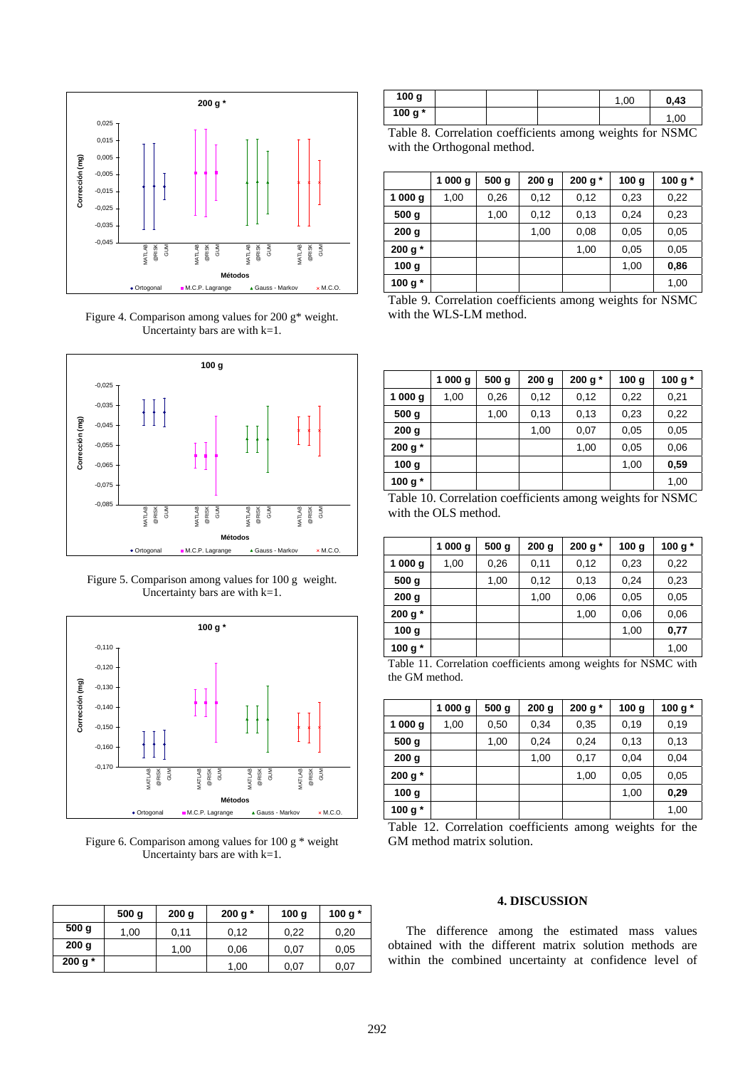

Figure 4. Comparison among values for 200 g\* weight. Uncertainty bars are with  $k=1$ .



Figure 5. Comparison among values for 100 g weight. Uncertainty bars are with k=1.



Figure 6. Comparison among values for 100 g \* weight Uncertainty bars are with  $k=1$ .

|                  | 500 <sub>g</sub> | 200 <sub>g</sub> | 200 g $*$ | 100q | 100 g $*$ |
|------------------|------------------|------------------|-----------|------|-----------|
| 500 <sub>g</sub> | 1,00             | 0,11             | 0.12      | 0,22 | 0,20      |
| 200 <sub>g</sub> |                  | 1,00             | 0,06      | 0,07 | 0,05      |
| 200 g $*$        |                  |                  | 1,00      | 0,07 | 0,07      |

| 100 g   |  | .00 | 0.43 |
|---------|--|-----|------|
| 100 g * |  |     | .00  |

Table 8. Correlation coefficients among weights for NSMC with the Orthogonal method.

|                  | 1000 g | 500q | 200q | 200 g $*$ | 100 <sub>g</sub> | 100 g $*$ |
|------------------|--------|------|------|-----------|------------------|-----------|
| 1 000 g          | 1,00   | 0,26 | 0,12 | 0,12      | 0,23             | 0,22      |
| 500 <sub>g</sub> |        | 1,00 | 0,12 | 0.13      | 0,24             | 0,23      |
| 200 <sub>g</sub> |        |      | 1,00 | 0,08      | 0,05             | 0,05      |
| 200 g $*$        |        |      |      | 1,00      | 0,05             | 0,05      |
| 100 <sub>g</sub> |        |      |      |           | 1,00             | 0,86      |
| 100 g $*$        |        |      |      |           |                  | 1,00      |

Table 9. Correlation coefficients among weights for NSMC with the WLS-LM method.

|                       | 1000 g | 500 <sub>g</sub> | 200 <sub>g</sub> | 200 g $*$ | 100 <sub>g</sub> | 100 g $*$ |
|-----------------------|--------|------------------|------------------|-----------|------------------|-----------|
| 1000 g                | 1,00   | 0,26             | 0,12             | 0,12      | 0,22             | 0,21      |
| 500 g                 |        | 1,00             | 0,13             | 0,13      | 0,23             | 0,22      |
| 200 <sub>g</sub>      |        |                  | 1,00             | 0,07      | 0,05             | 0,05      |
| 200 g $*$             |        |                  |                  | 1,00      | 0,05             | 0,06      |
| 100 <sub>g</sub>      |        |                  |                  |           | 1,00             | 0,59      |
| 100 <sub>g</sub><br>* |        |                  |                  |           |                  | 1,00      |

Table 10. Correlation coefficients among weights for NSMC with the OLS method.

|                       | 1000 g | 500q | 200q | 200 g $*$ | 100 <sub>g</sub> | 100 g $*$ |
|-----------------------|--------|------|------|-----------|------------------|-----------|
| 1000 g                | 1,00   | 0,26 | 0,11 | 0,12      | 0,23             | 0,22      |
| 500 <sub>g</sub>      |        | 1,00 | 0,12 | 0,13      | 0,24             | 0,23      |
| 200 <sub>g</sub>      |        |      | 1,00 | 0,06      | 0,05             | 0,05      |
| 200 g $*$             |        |      |      | 1,00      | 0,06             | 0,06      |
| 100 <sub>g</sub>      |        |      |      |           | 1,00             | 0,77      |
| 100 <sub>g</sub><br>* |        |      |      |           |                  | 1,00      |

Table 11. Correlation coefficients among weights for NSMC with the GM method.

|                  | 1000 g | 500 <sub>g</sub> | 200 <sub>g</sub> | 200 g $*$ | 100 <sub>g</sub> | 100 g $*$ |
|------------------|--------|------------------|------------------|-----------|------------------|-----------|
| 1000 g           | 1,00   | 0,50             | 0,34             | 0,35      | 0,19             | 0,19      |
| 500 <sub>g</sub> |        | 1,00             | 0,24             | 0,24      | 0,13             | 0,13      |
| 200 <sub>g</sub> |        |                  | 1,00             | 0,17      | 0,04             | 0,04      |
| 200 g $*$        |        |                  |                  | 1,00      | 0,05             | 0,05      |
| 100 <sub>g</sub> |        |                  |                  |           | 1,00             | 0,29      |
| 100 g $*$        |        |                  |                  |           |                  | 1,00      |

Table 12. Correlation coefficients among weights for the GM method matrix solution.

# **4. DISCUSSION**

The difference among the estimated mass values obtained with the different matrix solution methods are within the combined uncertainty at confidence level of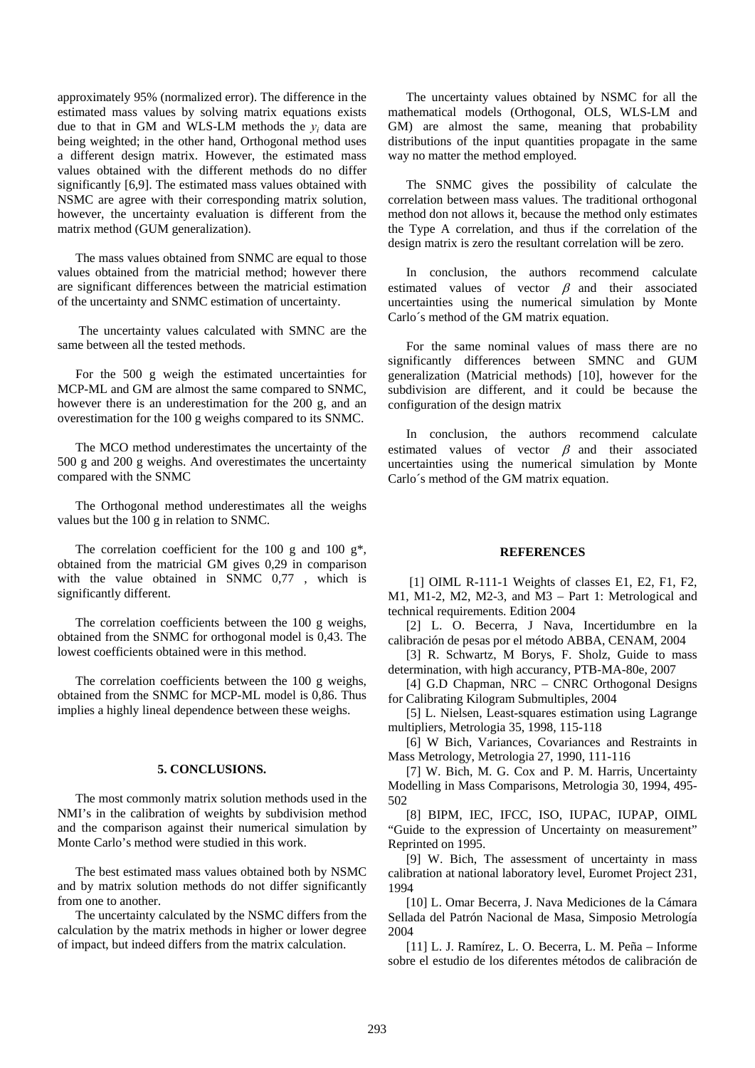approximately 95% (normalized error). The difference in the estimated mass values by solving matrix equations exists due to that in GM and WLS-LM methods the  $y_i$  data are being weighted; in the other hand, Orthogonal method uses a different design matrix. However, the estimated mass values obtained with the different methods do no differ significantly [6,9]. The estimated mass values obtained with NSMC are agree with their corresponding matrix solution, however, the uncertainty evaluation is different from the matrix method (GUM generalization).

The mass values obtained from SNMC are equal to those values obtained from the matricial method; however there are significant differences between the matricial estimation of the uncertainty and SNMC estimation of uncertainty.

 The uncertainty values calculated with SMNC are the same between all the tested methods.

For the 500 g weigh the estimated uncertainties for MCP-ML and GM are almost the same compared to SNMC, however there is an underestimation for the 200 g, and an overestimation for the 100 g weighs compared to its SNMC.

The MCO method underestimates the uncertainty of the 500 g and 200 g weighs. And overestimates the uncertainty compared with the SNMC

The Orthogonal method underestimates all the weighs values but the 100 g in relation to SNMC.

The correlation coefficient for the 100 g and 100  $g^*$ , obtained from the matricial GM gives 0,29 in comparison with the value obtained in SNMC 0,77 , which is significantly different.

The correlation coefficients between the 100 g weighs, obtained from the SNMC for orthogonal model is 0,43. The lowest coefficients obtained were in this method.

The correlation coefficients between the 100 g weighs, obtained from the SNMC for MCP-ML model is 0,86. Thus implies a highly lineal dependence between these weighs.

#### **5. CONCLUSIONS.**

The most commonly matrix solution methods used in the NMI's in the calibration of weights by subdivision method and the comparison against their numerical simulation by Monte Carlo's method were studied in this work.

The best estimated mass values obtained both by NSMC and by matrix solution methods do not differ significantly from one to another.

The uncertainty calculated by the NSMC differs from the calculation by the matrix methods in higher or lower degree of impact, but indeed differs from the matrix calculation.

The uncertainty values obtained by NSMC for all the mathematical models (Orthogonal, OLS, WLS-LM and GM) are almost the same, meaning that probability distributions of the input quantities propagate in the same way no matter the method employed.

The SNMC gives the possibility of calculate the correlation between mass values. The traditional orthogonal method don not allows it, because the method only estimates the Type A correlation, and thus if the correlation of the design matrix is zero the resultant correlation will be zero.

In conclusion, the authors recommend calculate estimated values of vector  $\beta$  and their associated uncertainties using the numerical simulation by Monte Carlo´s method of the GM matrix equation.

For the same nominal values of mass there are no significantly differences between SMNC and GUM generalization (Matricial methods) [10], however for the subdivision are different, and it could be because the configuration of the design matrix

In conclusion, the authors recommend calculate estimated values of vector  $\beta$  and their associated uncertainties using the numerical simulation by Monte Carlo´s method of the GM matrix equation.

#### **REFERENCES**

 [1] OIML R-111-1 Weights of classes E1, E2, F1, F2, M1, M1-2, M2, M2-3, and M3 – Part 1: Metrological and technical requirements. Edition 2004

[2] L. O. Becerra, J Nava, Incertidumbre en la calibración de pesas por el método ABBA, CENAM, 2004

[3] R. Schwartz, M Borys, F. Sholz, Guide to mass determination, with high accurancy, PTB-MA-80e, 2007

[4] G.D Chapman, NRC – CNRC Orthogonal Designs for Calibrating Kilogram Submultiples, 2004

[5] L. Nielsen, Least-squares estimation using Lagrange multipliers, Metrologia 35, 1998, 115-118

[6] W Bich, Variances, Covariances and Restraints in Mass Metrology, Metrologia 27, 1990, 111-116

[7] W. Bich, M. G. Cox and P. M. Harris, Uncertainty Modelling in Mass Comparisons, Metrologia 30, 1994, 495- 502

[8] BIPM, IEC, IFCC, ISO, IUPAC, IUPAP, OIML "Guide to the expression of Uncertainty on measurement" Reprinted on 1995.

[9] W. Bich, The assessment of uncertainty in mass calibration at national laboratory level, Euromet Project 231, 1994

[10] L. Omar Becerra, J. Nava Mediciones de la Cámara Sellada del Patrón Nacional de Masa, Simposio Metrología 2004

[11] L. J. Ramírez, L. O. Becerra, L. M. Peña – Informe sobre el estudio de los diferentes métodos de calibración de